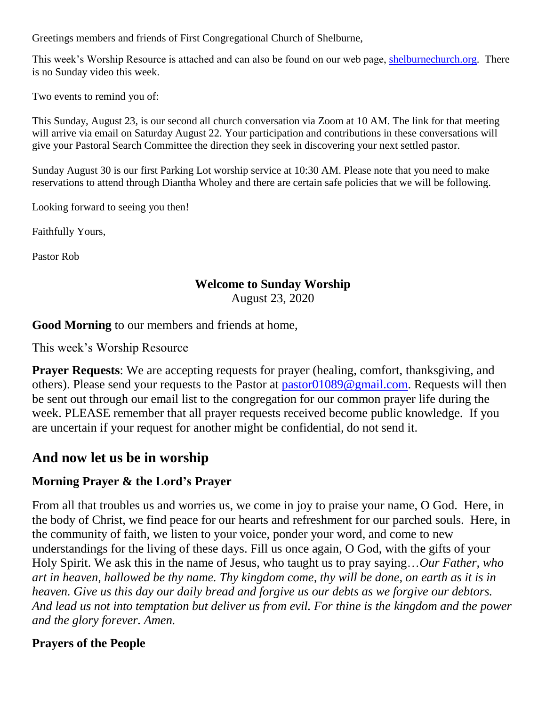Greetings members and friends of First Congregational Church of Shelburne,

This week's Worship Resource is attached and can also be found on our web page, [shelburnechurch.org.](http://shelburnechurch.org/) There is no Sunday video this week.

Two events to remind you of:

This Sunday, August 23, is our second all church conversation via Zoom at 10 AM. The link for that meeting will arrive via email on Saturday August 22. Your participation and contributions in these conversations will give your Pastoral Search Committee the direction they seek in discovering your next settled pastor.

Sunday August 30 is our first Parking Lot worship service at 10:30 AM. Please note that you need to make reservations to attend through Diantha Wholey and there are certain safe policies that we will be following.

Looking forward to seeing you then!

Faithfully Yours,

Pastor Rob

### **Welcome to Sunday Worship**

August 23, 2020

**Good Morning** to our members and friends at home,

This week's Worship Resource

**Prayer Requests**: We are accepting requests for prayer (healing, comfort, thanksgiving, and others). Please send your requests to the Pastor at [pastor01089@gmail.com.](mailto:pastor01089@gmail.com) Requests will then be sent out through our email list to the congregation for our common prayer life during the week. PLEASE remember that all prayer requests received become public knowledge. If you are uncertain if your request for another might be confidential, do not send it.

# **And now let us be in worship**

### **Morning Prayer & the Lord's Prayer**

From all that troubles us and worries us, we come in joy to praise your name, O God. Here, in the body of Christ, we find peace for our hearts and refreshment for our parched souls. Here, in the community of faith, we listen to your voice, ponder your word, and come to new understandings for the living of these days. Fill us once again, O God, with the gifts of your Holy Spirit. We ask this in the name of Jesus, who taught us to pray saying…*Our Father, who art in heaven, hallowed be thy name. Thy kingdom come, thy will be done, on earth as it is in heaven. Give us this day our daily bread and forgive us our debts as we forgive our debtors. And lead us not into temptation but deliver us from evil. For thine is the kingdom and the power and the glory forever. Amen.*

## **Prayers of the People**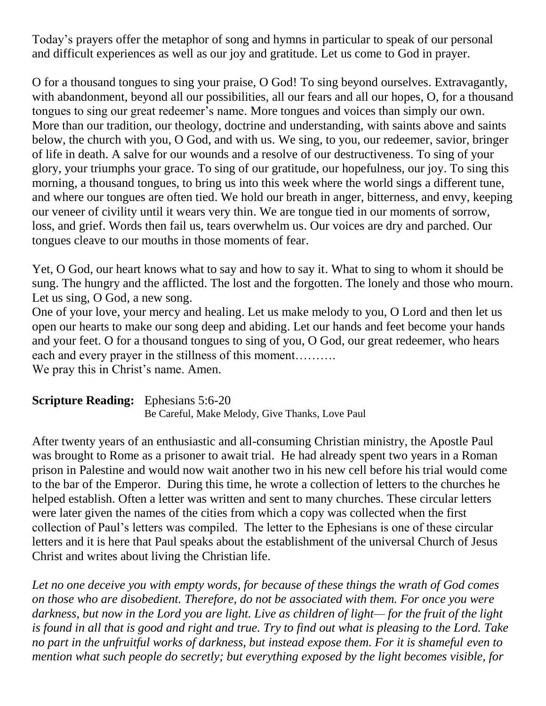Today's prayers offer the metaphor of song and hymns in particular to speak of our personal and difficult experiences as well as our joy and gratitude. Let us come to God in prayer.

O for a thousand tongues to sing your praise, O God! To sing beyond ourselves. Extravagantly, with abandonment, beyond all our possibilities, all our fears and all our hopes, O, for a thousand tongues to sing our great redeemer's name. More tongues and voices than simply our own. More than our tradition, our theology, doctrine and understanding, with saints above and saints below, the church with you, O God, and with us. We sing, to you, our redeemer, savior, bringer of life in death. A salve for our wounds and a resolve of our destructiveness. To sing of your glory, your triumphs your grace. To sing of our gratitude, our hopefulness, our joy. To sing this morning, a thousand tongues, to bring us into this week where the world sings a different tune, and where our tongues are often tied. We hold our breath in anger, bitterness, and envy, keeping our veneer of civility until it wears very thin. We are tongue tied in our moments of sorrow, loss, and grief. Words then fail us, tears overwhelm us. Our voices are dry and parched. Our tongues cleave to our mouths in those moments of fear.

Yet, O God, our heart knows what to say and how to say it. What to sing to whom it should be sung. The hungry and the afflicted. The lost and the forgotten. The lonely and those who mourn. Let us sing, O God, a new song.

One of your love, your mercy and healing. Let us make melody to you, O Lord and then let us open our hearts to make our song deep and abiding. Let our hands and feet become your hands and your feet. O for a thousand tongues to sing of you, O God, our great redeemer, who hears each and every prayer in the stillness of this moment……….

We pray this in Christ's name. Amen.

| <b>Scripture Reading:</b> Ephesians 5:6-20 |                                                 |
|--------------------------------------------|-------------------------------------------------|
|                                            | Be Careful, Make Melody, Give Thanks, Love Paul |

After twenty years of an enthusiastic and all-consuming Christian ministry, the Apostle Paul was brought to Rome as a prisoner to await trial. He had already spent two years in a Roman prison in Palestine and would now wait another two in his new cell before his trial would come to the bar of the Emperor. During this time, he wrote a collection of letters to the churches he helped establish. Often a letter was written and sent to many churches. These circular letters were later given the names of the cities from which a copy was collected when the first collection of Paul's letters was compiled. The letter to the Ephesians is one of these circular letters and it is here that Paul speaks about the establishment of the universal Church of Jesus Christ and writes about living the Christian life.

*Let no one deceive you with empty words, for because of these things the wrath of God comes on those who are disobedient. Therefore, do not be associated with them. For once you were darkness, but now in the Lord you are light. Live as children of light— for the fruit of the light is found in all that is good and right and true. Try to find out what is pleasing to the Lord. Take no part in the unfruitful works of darkness, but instead expose them. For it is shameful even to mention what such people do secretly; but everything exposed by the light becomes visible, for*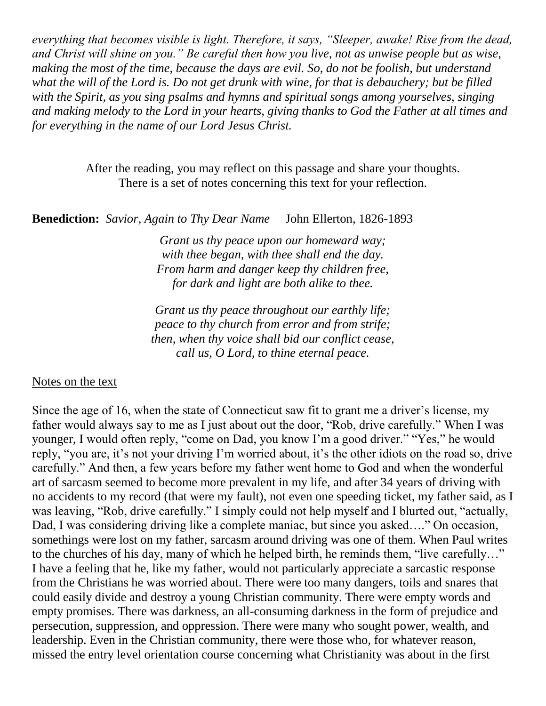*everything that becomes visible is light. Therefore, it says, "Sleeper, awake! Rise from the dead, and Christ will shine on you." Be careful then how you live, not as unwise people but as wise, making the most of the time, because the days are evil. So, do not be foolish, but understand what the will of the Lord is. Do not get drunk with wine, for that is debauchery; but be filled with the Spirit, as you sing psalms and hymns and spiritual songs among yourselves, singing and making melody to the Lord in your hearts, giving thanks to God the Father at all times and for everything in the name of our Lord Jesus Christ.*

> After the reading, you may reflect on this passage and share your thoughts. There is a set of notes concerning this text for your reflection.

**Benediction:** *Savior, Again to Thy Dear Name* John Ellerton, 1826-1893

*Grant us thy peace upon our homeward way; with thee began, with thee shall end the day. From harm and danger keep thy children free, for dark and light are both alike to thee.*

*Grant us thy peace throughout our earthly life; peace to thy church from error and from strife; then, when thy voice shall bid our conflict cease, call us, O Lord, to thine eternal peace.*

#### Notes on the text

Since the age of 16, when the state of Connecticut saw fit to grant me a driver's license, my father would always say to me as I just about out the door, "Rob, drive carefully." When I was younger, I would often reply, "come on Dad, you know I'm a good driver." "Yes," he would reply, "you are, it's not your driving I'm worried about, it's the other idiots on the road so, drive carefully." And then, a few years before my father went home to God and when the wonderful art of sarcasm seemed to become more prevalent in my life, and after 34 years of driving with no accidents to my record (that were my fault), not even one speeding ticket, my father said, as I was leaving, "Rob, drive carefully." I simply could not help myself and I blurted out, "actually, Dad, I was considering driving like a complete maniac, but since you asked…." On occasion, somethings were lost on my father, sarcasm around driving was one of them. When Paul writes to the churches of his day, many of which he helped birth, he reminds them, "live carefully…" I have a feeling that he, like my father, would not particularly appreciate a sarcastic response from the Christians he was worried about. There were too many dangers, toils and snares that could easily divide and destroy a young Christian community. There were empty words and empty promises. There was darkness, an all-consuming darkness in the form of prejudice and persecution, suppression, and oppression. There were many who sought power, wealth, and leadership. Even in the Christian community, there were those who, for whatever reason, missed the entry level orientation course concerning what Christianity was about in the first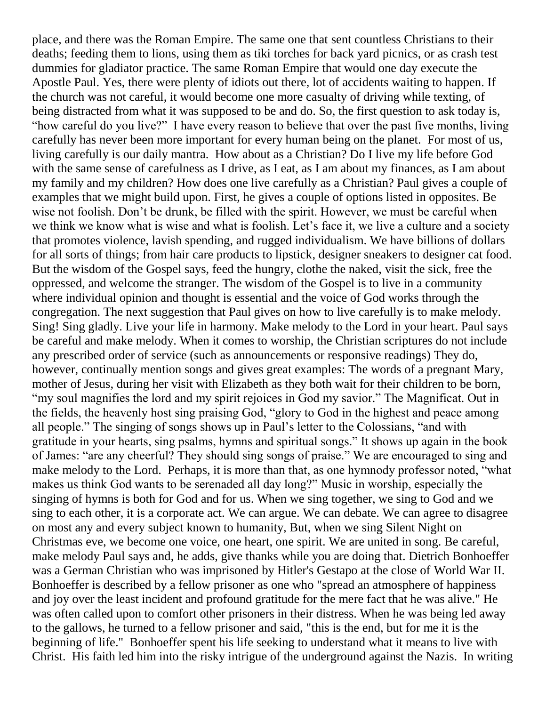place, and there was the Roman Empire. The same one that sent countless Christians to their deaths; feeding them to lions, using them as tiki torches for back yard picnics, or as crash test dummies for gladiator practice. The same Roman Empire that would one day execute the Apostle Paul. Yes, there were plenty of idiots out there, lot of accidents waiting to happen. If the church was not careful, it would become one more casualty of driving while texting, of being distracted from what it was supposed to be and do. So, the first question to ask today is, "how careful do you live?" I have every reason to believe that over the past five months, living carefully has never been more important for every human being on the planet. For most of us, living carefully is our daily mantra. How about as a Christian? Do I live my life before God with the same sense of carefulness as I drive, as I eat, as I am about my finances, as I am about my family and my children? How does one live carefully as a Christian? Paul gives a couple of examples that we might build upon. First, he gives a couple of options listed in opposites. Be wise not foolish. Don't be drunk, be filled with the spirit. However, we must be careful when we think we know what is wise and what is foolish. Let's face it, we live a culture and a society that promotes violence, lavish spending, and rugged individualism. We have billions of dollars for all sorts of things; from hair care products to lipstick, designer sneakers to designer cat food. But the wisdom of the Gospel says, feed the hungry, clothe the naked, visit the sick, free the oppressed, and welcome the stranger. The wisdom of the Gospel is to live in a community where individual opinion and thought is essential and the voice of God works through the congregation. The next suggestion that Paul gives on how to live carefully is to make melody. Sing! Sing gladly. Live your life in harmony. Make melody to the Lord in your heart. Paul says be careful and make melody. When it comes to worship, the Christian scriptures do not include any prescribed order of service (such as announcements or responsive readings) They do, however, continually mention songs and gives great examples: The words of a pregnant Mary, mother of Jesus, during her visit with Elizabeth as they both wait for their children to be born, "my soul magnifies the lord and my spirit rejoices in God my savior." The Magnificat. Out in the fields, the heavenly host sing praising God, "glory to God in the highest and peace among all people." The singing of songs shows up in Paul's letter to the Colossians, "and with gratitude in your hearts, sing psalms, hymns and spiritual songs." It shows up again in the book of James: "are any cheerful? They should sing songs of praise." We are encouraged to sing and make melody to the Lord. Perhaps, it is more than that, as one hymnody professor noted, "what makes us think God wants to be serenaded all day long?" Music in worship, especially the singing of hymns is both for God and for us. When we sing together, we sing to God and we sing to each other, it is a corporate act. We can argue. We can debate. We can agree to disagree on most any and every subject known to humanity, But, when we sing Silent Night on Christmas eve, we become one voice, one heart, one spirit. We are united in song. Be careful, make melody Paul says and, he adds, give thanks while you are doing that. Dietrich Bonhoeffer was a German Christian who was imprisoned by Hitler's Gestapo at the close of World War II. Bonhoeffer is described by a fellow prisoner as one who "spread an atmosphere of happiness and joy over the least incident and profound gratitude for the mere fact that he was alive." He was often called upon to comfort other prisoners in their distress. When he was being led away to the gallows, he turned to a fellow prisoner and said, "this is the end, but for me it is the beginning of life." Bonhoeffer spent his life seeking to understand what it means to live with Christ. His faith led him into the risky intrigue of the underground against the Nazis. In writing